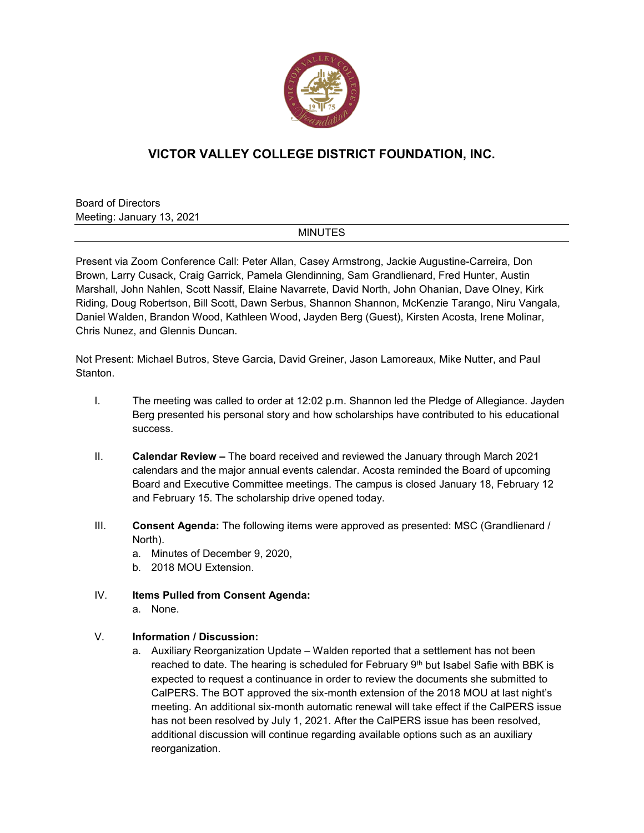

## **VICTOR VALLEY COLLEGE DISTRICT FOUNDATION, INC.**

Board of Directors Meeting: January 13, 2021

## MINUTES

Present via Zoom Conference Call: Peter Allan, Casey Armstrong, Jackie Augustine-Carreira, Don Brown, Larry Cusack, Craig Garrick, Pamela Glendinning, Sam Grandlienard, Fred Hunter, Austin Marshall, John Nahlen, Scott Nassif, Elaine Navarrete, David North, John Ohanian, Dave Olney, Kirk Riding, Doug Robertson, Bill Scott, Dawn Serbus, Shannon Shannon, McKenzie Tarango, Niru Vangala, Daniel Walden, Brandon Wood, Kathleen Wood, Jayden Berg (Guest), Kirsten Acosta, Irene Molinar, Chris Nunez, and Glennis Duncan.

Not Present: Michael Butros, Steve Garcia, David Greiner, Jason Lamoreaux, Mike Nutter, and Paul **Stanton** 

- I. The meeting was called to order at 12:02 p.m. Shannon led the Pledge of Allegiance. Jayden Berg presented his personal story and how scholarships have contributed to his educational success.
- II. **Calendar Review –** The board received and reviewed the January through March 2021 calendars and the major annual events calendar. Acosta reminded the Board of upcoming Board and Executive Committee meetings. The campus is closed January 18, February 12 and February 15. The scholarship drive opened today.
- III. **Consent Agenda:** The following items were approved as presented: MSC (Grandlienard / North).
	- a. Minutes of December 9, 2020,
	- b. 2018 MOU Extension.
- IV. **Items Pulled from Consent Agenda:** a. None.
	-

## V. **Information / Discussion:**

a. Auxiliary Reorganization Update – Walden reported that a settlement has not been reached to date. The hearing is scheduled for February 9th but Isabel Safie with BBK is expected to request a continuance in order to review the documents she submitted to CalPERS. The BOT approved the six-month extension of the 2018 MOU at last night's meeting. An additional six-month automatic renewal will take effect if the CalPERS issue has not been resolved by July 1, 2021. After the CalPERS issue has been resolved, additional discussion will continue regarding available options such as an auxiliary reorganization.